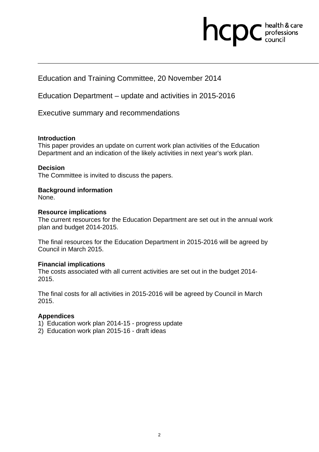### hcpc health & care professions<br>council

Education and Training Committee, 20 November 2014

Education Department – update and activities in 2015-2016

Executive summary and recommendations

#### **Introduction**

This paper provides an update on current work plan activities of the Education Department and an indication of the likely activities in next year's work plan.

#### **Decision**

The Committee is invited to discuss the papers.

### **Background information**

None.

#### **Resource implications**

The current resources for the Education Department are set out in the annual work plan and budget 2014-2015.

The final resources for the Education Department in 2015-2016 will be agreed by Council in March 2015.

#### **Financial implications**

The costs associated with all current activities are set out in the budget 2014- 2015.

The final costs for all activities in 2015-2016 will be agreed by Council in March 2015.

### **Appendices**

- 1) Education work plan 2014-15 progress update
- 2) Education work plan 2015-16 draft ideas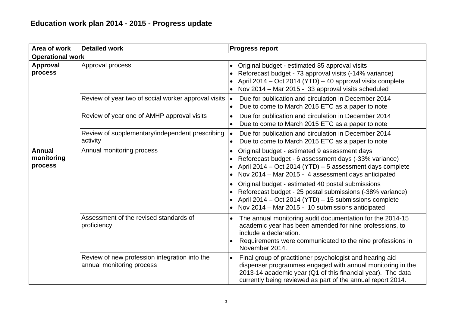| Area of work                           | <b>Detailed work</b>                                                       | <b>Progress report</b>                                                                                                                                                                                                                                            |
|----------------------------------------|----------------------------------------------------------------------------|-------------------------------------------------------------------------------------------------------------------------------------------------------------------------------------------------------------------------------------------------------------------|
| <b>Operational work</b>                |                                                                            |                                                                                                                                                                                                                                                                   |
| <b>Approval</b><br>process             | Approval process                                                           | Original budget - estimated 85 approval visits<br>$\bullet$<br>Reforecast budget - 73 approval visits (-14% variance)<br>April 2014 – Oct 2014 (YTD) – 40 approval visits complete<br>Nov 2014 - Mar 2015 - 33 approval visits scheduled                          |
|                                        | Review of year two of social worker approval visits                        | Due for publication and circulation in December 2014<br>$\bullet$<br>Due to come to March 2015 ETC as a paper to note<br>$\bullet$                                                                                                                                |
|                                        | Review of year one of AMHP approval visits                                 | Due for publication and circulation in December 2014<br>$\bullet$<br>Due to come to March 2015 ETC as a paper to note                                                                                                                                             |
|                                        | Review of supplementary/independent prescribing<br>activity                | Due for publication and circulation in December 2014<br>$\bullet$<br>Due to come to March 2015 ETC as a paper to note<br>$\bullet$                                                                                                                                |
| <b>Annual</b><br>monitoring<br>process | Annual monitoring process                                                  | Original budget - estimated 9 assessment days<br>Reforecast budget - 6 assessment days (-33% variance)<br>April 2014 - Oct 2014 (YTD) - 5 assessment days complete<br>Nov 2014 - Mar 2015 - 4 assessment days anticipated                                         |
|                                        |                                                                            | Original budget - estimated 40 postal submissions<br>Reforecast budget - 25 postal submissions (-38% variance)<br>April 2014 – Oct 2014 (YTD) – 15 submissions complete<br>Nov 2014 – Mar 2015 - 10 submissions anticipated                                       |
|                                        | Assessment of the revised standards of<br>proficiency                      | The annual monitoring audit documentation for the 2014-15<br>$\bullet$<br>academic year has been amended for nine professions, to<br>include a declaration.<br>Requirements were communicated to the nine professions in<br>November 2014.                        |
|                                        | Review of new profession integration into the<br>annual monitoring process | Final group of practitioner psychologist and hearing aid<br>$\bullet$<br>dispenser programmes engaged with annual monitoring in the<br>2013-14 academic year (Q1 of this financial year). The data<br>currently being reviewed as part of the annual report 2014. |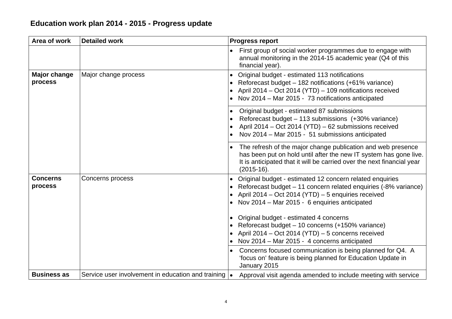| Area of work                   | <b>Detailed work</b>                               | <b>Progress report</b>                                                                                                                                                                                                                                                                                                                                                                                                                                                                                   |
|--------------------------------|----------------------------------------------------|----------------------------------------------------------------------------------------------------------------------------------------------------------------------------------------------------------------------------------------------------------------------------------------------------------------------------------------------------------------------------------------------------------------------------------------------------------------------------------------------------------|
|                                |                                                    | First group of social worker programmes due to engage with<br>$\bullet$<br>annual monitoring in the 2014-15 academic year (Q4 of this<br>financial year).                                                                                                                                                                                                                                                                                                                                                |
| <b>Major change</b><br>process | Major change process                               | Original budget - estimated 113 notifications<br>Reforecast budget - 182 notifications (+61% variance)<br>April 2014 – Oct 2014 (YTD) – 109 notifications received<br>• Nov 2014 – Mar 2015 - 73 notifications anticipated                                                                                                                                                                                                                                                                               |
|                                |                                                    | Original budget - estimated 87 submissions<br>Reforecast budget - 113 submissions (+30% variance)<br>April 2014 - Oct 2014 (YTD) - 62 submissions received<br>Nov 2014 - Mar 2015 - 51 submissions anticipated                                                                                                                                                                                                                                                                                           |
|                                |                                                    | The refresh of the major change publication and web presence<br>has been put on hold until after the new IT system has gone live.<br>It is anticipated that it will be carried over the next financial year<br>$(2015-16).$                                                                                                                                                                                                                                                                              |
| <b>Concerns</b><br>process     | Concerns process                                   | Original budget - estimated 12 concern related enquiries<br>Reforecast budget – 11 concern related enquiries (-8% variance)<br>April 2014 – Oct 2014 (YTD) – 5 enquiries received<br>• Nov 2014 - Mar 2015 - 6 enquiries anticipated<br>Original budget - estimated 4 concerns<br>Reforecast budget - 10 concerns (+150% variance)<br>• April 2014 - Oct 2014 (YTD) - 5 concerns received<br>• Nov 2014 – Mar 2015 - 4 concerns anticipated<br>Concerns focused communication is being planned for Q4. A |
| <b>Business as</b>             | Service user involvement in education and training | 'focus on' feature is being planned for Education Update in<br>January 2015<br>Approval visit agenda amended to include meeting with service<br>$\bullet$                                                                                                                                                                                                                                                                                                                                                |
|                                |                                                    |                                                                                                                                                                                                                                                                                                                                                                                                                                                                                                          |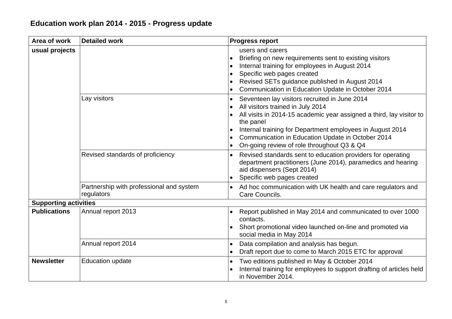#### Area of work Detailed work **Progress report usual projects**  Briefing on new requirements sent to existing visitors Internal training for employees in August 2014 Specific web pages created Revised SETs guidance published in August 2014 Communication in Education Update in October 2014 Lay visitors **Sexet Exercise 1** Seventeen lay visitors recruited in June 2014 All visitors trained in July 2014 All visits in 2014-15 academic year assigned a third, lay visitor to the panel Internal training for Department employees in August 2014 Communication in Education Update in October 2014 On-going review of role throughout Q3 & Q4 Revised standards of proficiency  $\cdot$  Revised standards sent to education providers for operating department practitioners (June 2014), paramedics and hearing aid dispensers (Sept 2014) Specific web pages created Partnership with professional and system regulators Ad hoc communication with UK health and care regulators and Care Councils. **Supporting activities Publications** Annual report 2013 **Annual report 2013 Report published in May 2014 and communicated to over 1000** contacts. Short promotional video launched on-line and promoted via social media in May 2014 Annual report 2014 **Data compilation and analysis has begun.**  Draft report due to come to March 2015 ETC for approval **Newsletter** | Education update **The Contract Contract Contract Contract Property** Two editions published in May & October 2014 Internal training for employees to support drafting of articles held in November 2014.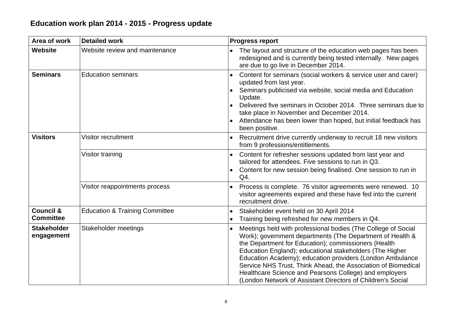| Area of work                             | <b>Detailed work</b>                      | <b>Progress report</b>                                                                                                                                                                                                                                                                                                                                                                                                                                                                                |
|------------------------------------------|-------------------------------------------|-------------------------------------------------------------------------------------------------------------------------------------------------------------------------------------------------------------------------------------------------------------------------------------------------------------------------------------------------------------------------------------------------------------------------------------------------------------------------------------------------------|
| <b>Website</b>                           | Website review and maintenance            | The layout and structure of the education web pages has been<br>$\bullet$<br>redesigned and is currently being tested internally. New pages<br>are due to go live in December 2014.                                                                                                                                                                                                                                                                                                                   |
| <b>Seminars</b>                          | <b>Education seminars</b>                 | Content for seminars (social workers & service user and carer)<br>updated from last year.<br>Seminars publicised via website, social media and Education<br>Update.<br>Delivered five seminars in October 2014. Three seminars due to<br>take place in November and December 2014.<br>Attendance has been lower than hoped, but initial feedback has<br>been positive.                                                                                                                                |
| <b>Visitors</b>                          | Visitor recruitment                       | Recruitment drive currently underway to recruit 18 new visitors<br>from 9 professions/entitlements.                                                                                                                                                                                                                                                                                                                                                                                                   |
|                                          | Visitor training                          | Content for refresher sessions updated from last year and<br>tailored for attendees. Five sessions to run in Q3.<br>Content for new session being finalised. One session to run in<br>Q4.                                                                                                                                                                                                                                                                                                             |
|                                          | Visitor reappointments process            | Process is complete. 76 visitor agreements were renewed. 10<br>visitor agreements expired and these have fed into the current<br>recruitment drive.                                                                                                                                                                                                                                                                                                                                                   |
| <b>Council &amp;</b><br><b>Committee</b> | <b>Education &amp; Training Committee</b> | Stakeholder event held on 30 April 2014<br>$\bullet$<br>Training being refreshed for new members in Q4.                                                                                                                                                                                                                                                                                                                                                                                               |
| <b>Stakeholder</b><br>engagement         | Stakeholder meetings                      | Meetings held with professional bodies (The College of Social<br>Work); government departments (The Department of Health &<br>the Department for Education); commissioners (Health<br>Education England); educational stakeholders (The Higher<br>Education Academy); education providers (London Ambulance<br>Service NHS Trust, Think Ahead, the Association of Biomedical<br>Healthcare Science and Pearsons College) and employers<br>(London Network of Assistant Directors of Children's Social |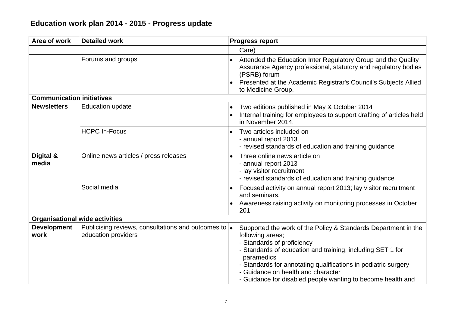| Area of work                          | <b>Detailed work</b>                                                                | <b>Progress report</b>                                                                                                                                                                                                                                                                                                                                              |
|---------------------------------------|-------------------------------------------------------------------------------------|---------------------------------------------------------------------------------------------------------------------------------------------------------------------------------------------------------------------------------------------------------------------------------------------------------------------------------------------------------------------|
|                                       |                                                                                     | Care)                                                                                                                                                                                                                                                                                                                                                               |
|                                       | Forums and groups                                                                   | Attended the Education Inter Regulatory Group and the Quality<br>Assurance Agency professional, statutory and regulatory bodies<br>(PSRB) forum<br>Presented at the Academic Registrar's Council's Subjects Allied<br>to Medicine Group.                                                                                                                            |
| <b>Communication initiatives</b>      |                                                                                     |                                                                                                                                                                                                                                                                                                                                                                     |
| <b>Newsletters</b>                    | <b>Education update</b>                                                             | Two editions published in May & October 2014<br>Internal training for employees to support drafting of articles held<br>in November 2014.                                                                                                                                                                                                                           |
|                                       | <b>HCPC In-Focus</b>                                                                | Two articles included on<br>- annual report 2013<br>- revised standards of education and training guidance                                                                                                                                                                                                                                                          |
| Digital &<br>media                    | Online news articles / press releases                                               | Three online news article on<br>- annual report 2013<br>- lay visitor recruitment<br>- revised standards of education and training guidance                                                                                                                                                                                                                         |
|                                       | Social media                                                                        | Focused activity on annual report 2013; lay visitor recruitment<br>and seminars.<br>Awareness raising activity on monitoring processes in October<br>201                                                                                                                                                                                                            |
| <b>Organisational wide activities</b> |                                                                                     |                                                                                                                                                                                                                                                                                                                                                                     |
| <b>Development</b><br>work            | Publicising reviews, consultations and outcomes to $\bullet$<br>education providers | Supported the work of the Policy & Standards Department in the<br>following areas;<br>- Standards of proficiency<br>- Standards of education and training, including SET 1 for<br>paramedics<br>- Standards for annotating qualifications in podiatric surgery<br>- Guidance on health and character<br>- Guidance for disabled people wanting to become health and |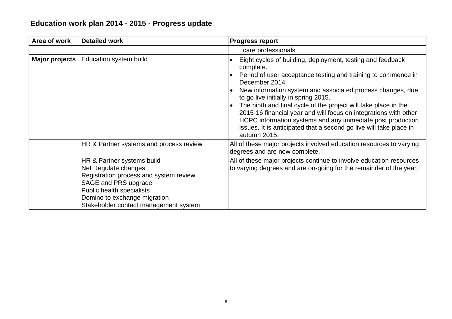| Area of work   | <b>Detailed work</b>                                                                                                                                                                                                       | <b>Progress report</b>                                                                                                                                                                                                                                                                                                                                                                                                                                               |
|----------------|----------------------------------------------------------------------------------------------------------------------------------------------------------------------------------------------------------------------------|----------------------------------------------------------------------------------------------------------------------------------------------------------------------------------------------------------------------------------------------------------------------------------------------------------------------------------------------------------------------------------------------------------------------------------------------------------------------|
|                |                                                                                                                                                                                                                            | care professionals                                                                                                                                                                                                                                                                                                                                                                                                                                                   |
| Major projects | <b>Education system build</b>                                                                                                                                                                                              | Eight cycles of building, deployment, testing and feedback<br>complete.<br>Period of user acceptance testing and training to commence in<br>December 2014<br>New information system and associated process changes, due<br>to go live initially in spring 2015.<br>The ninth and final cycle of the project will take place in the<br>2015-16 financial year and will focus on integrations with other<br>HCPC information systems and any immediate post production |
|                |                                                                                                                                                                                                                            | issues. It is anticipated that a second go live will take place in<br>autumn 2015.                                                                                                                                                                                                                                                                                                                                                                                   |
|                | HR & Partner systems and process review                                                                                                                                                                                    | All of these major projects involved education resources to varying<br>degrees and are now complete.                                                                                                                                                                                                                                                                                                                                                                 |
|                | HR & Partner systems build<br>Net Regulate changes<br>Registration process and system review<br>SAGE and PRS upgrade<br>Public health specialists<br>Domino to exchange migration<br>Stakeholder contact management system | All of these major projects continue to involve education resources<br>to varying degrees and are on-going for the remainder of the year.                                                                                                                                                                                                                                                                                                                            |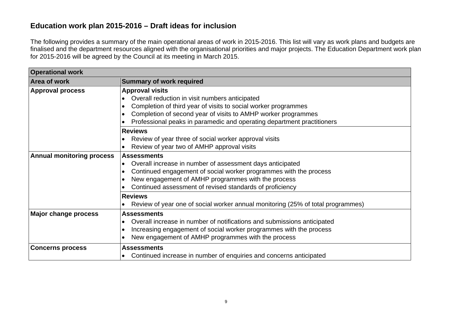### **Education work plan 2015-2016 – Draft ideas for inclusion**

The following provides a summary of the main operational areas of work in 2015-2016. This list will vary as work plans and budgets are finalised and the department resources aligned with the organisational priorities and major projects. The Education Department work plan for 2015-2016 will be agreed by the Council at its meeting in March 2015.

| <b>Operational work</b>                                |                                                                                      |
|--------------------------------------------------------|--------------------------------------------------------------------------------------|
| <b>Area of work</b>                                    | <b>Summary of work required</b>                                                      |
| <b>Approval process</b>                                | <b>Approval visits</b>                                                               |
|                                                        | Overall reduction in visit numbers anticipated                                       |
|                                                        | Completion of third year of visits to social worker programmes<br>$\bullet$          |
|                                                        | Completion of second year of visits to AMHP worker programmes                        |
|                                                        | Professional peaks in paramedic and operating department practitioners               |
|                                                        | <b>Reviews</b>                                                                       |
|                                                        | Review of year three of social worker approval visits                                |
|                                                        | Review of year two of AMHP approval visits                                           |
| <b>Annual monitoring process</b><br><b>Assessments</b> |                                                                                      |
|                                                        | Overall increase in number of assessment days anticipated<br>$\bullet$               |
|                                                        | Continued engagement of social worker programmes with the process<br>$\bullet$       |
|                                                        | New engagement of AMHP programmes with the process                                   |
|                                                        | Continued assessment of revised standards of proficiency                             |
|                                                        | <b>Reviews</b>                                                                       |
|                                                        | Review of year one of social worker annual monitoring (25% of total programmes)      |
| <b>Major change process</b>                            | <b>Assessments</b>                                                                   |
|                                                        | Overall increase in number of notifications and submissions anticipated<br>$\bullet$ |
|                                                        | Increasing engagement of social worker programmes with the process<br>$\bullet$      |
|                                                        | New engagement of AMHP programmes with the process                                   |
| <b>Concerns process</b>                                | <b>Assessments</b>                                                                   |
|                                                        | Continued increase in number of enquiries and concerns anticipated<br>$\bullet$      |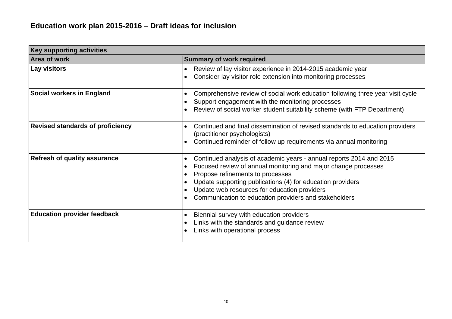| <b>Key supporting activities</b>        |                                                                                                                                                                                                                                                                                                                                                                                                      |
|-----------------------------------------|------------------------------------------------------------------------------------------------------------------------------------------------------------------------------------------------------------------------------------------------------------------------------------------------------------------------------------------------------------------------------------------------------|
| Area of work                            | <b>Summary of work required</b>                                                                                                                                                                                                                                                                                                                                                                      |
| Lay visitors                            | Review of lay visitor experience in 2014-2015 academic year<br>$\bullet$<br>Consider lay visitor role extension into monitoring processes<br>$\bullet$                                                                                                                                                                                                                                               |
| Social workers in England               | Comprehensive review of social work education following three year visit cycle<br>$\bullet$<br>Support engagement with the monitoring processes<br>$\bullet$<br>Review of social worker student suitability scheme (with FTP Department)<br>$\bullet$                                                                                                                                                |
| <b>Revised standards of proficiency</b> | Continued and final dissemination of revised standards to education providers<br>(practitioner psychologists)<br>Continued reminder of follow up requirements via annual monitoring<br>$\bullet$                                                                                                                                                                                                     |
| <b>Refresh of quality assurance</b>     | Continued analysis of academic years - annual reports 2014 and 2015<br>$\bullet$<br>Focused review of annual monitoring and major change processes<br>$\bullet$<br>Propose refinements to processes<br>Update supporting publications (4) for education providers<br>$\bullet$<br>Update web resources for education providers<br>Communication to education providers and stakeholders<br>$\bullet$ |
| <b>Education provider feedback</b>      | Biennial survey with education providers<br>$\bullet$<br>Links with the standards and guidance review<br>$\bullet$<br>Links with operational process<br>$\bullet$                                                                                                                                                                                                                                    |